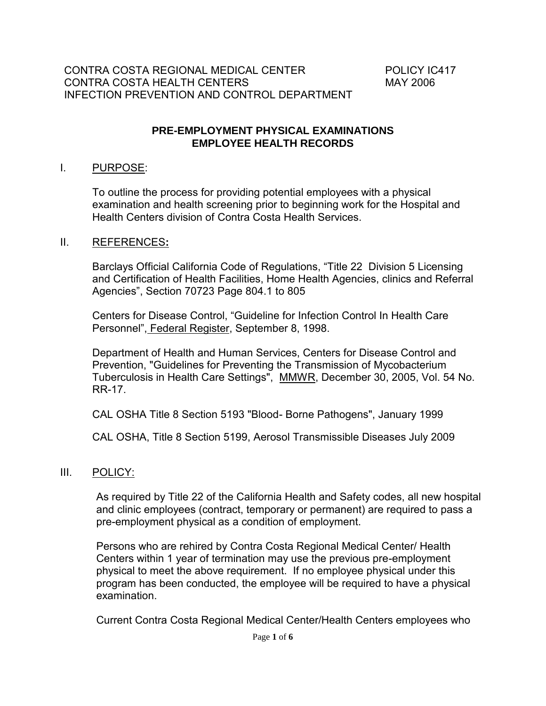#### **PRE-EMPLOYMENT PHYSICAL EXAMINATIONS EMPLOYEE HEALTH RECORDS**

#### I. PURPOSE:

To outline the process for providing potential employees with a physical examination and health screening prior to beginning work for the Hospital and Health Centers division of Contra Costa Health Services.

#### II. REFERENCES**:**

Barclays Official California Code of Regulations, "Title 22 Division 5 Licensing and Certification of Health Facilities, Home Health Agencies, clinics and Referral Agencies", Section 70723 Page 804.1 to 805

Centers for Disease Control, "Guideline for Infection Control In Health Care Personnel", Federal Register, September 8, 1998.

Department of Health and Human Services, Centers for Disease Control and Prevention, "Guidelines for Preventing the Transmission of Mycobacterium Tuberculosis in Health Care Settings", MMWR, December 30, 2005, Vol. 54 No. RR-17.

CAL OSHA Title 8 Section 5193 "Blood- Borne Pathogens", January 1999

CAL OSHA, Title 8 Section 5199, Aerosol Transmissible Diseases July 2009

#### III. POLICY:

As required by Title 22 of the California Health and Safety codes, all new hospital and clinic employees (contract, temporary or permanent) are required to pass a pre-employment physical as a condition of employment.

Persons who are rehired by Contra Costa Regional Medical Center/ Health Centers within 1 year of termination may use the previous pre-employment physical to meet the above requirement. If no employee physical under this program has been conducted, the employee will be required to have a physical examination.

Current Contra Costa Regional Medical Center/Health Centers employees who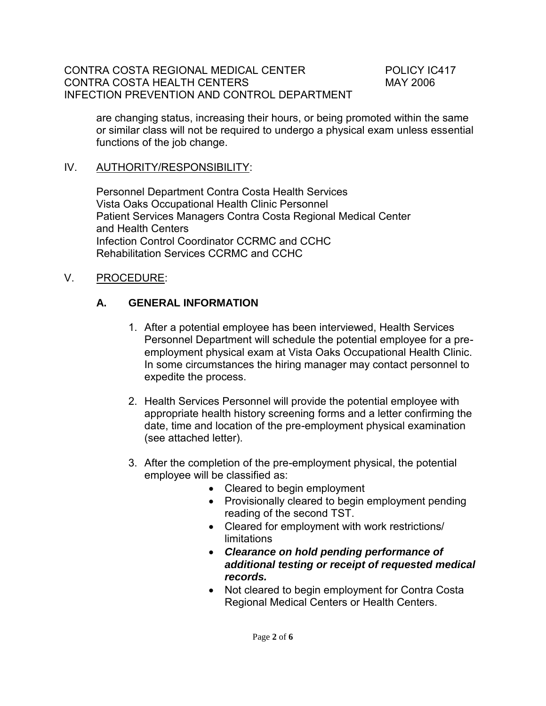are changing status, increasing their hours, or being promoted within the same or similar class will not be required to undergo a physical exam unless essential functions of the job change.

### IV. AUTHORITY/RESPONSIBILITY:

Personnel Department Contra Costa Health Services Vista Oaks Occupational Health Clinic Personnel Patient Services Managers Contra Costa Regional Medical Center and Health Centers Infection Control Coordinator CCRMC and CCHC Rehabilitation Services CCRMC and CCHC

### V. PROCEDURE:

### **A. GENERAL INFORMATION**

- 1. After a potential employee has been interviewed, Health Services Personnel Department will schedule the potential employee for a preemployment physical exam at Vista Oaks Occupational Health Clinic. In some circumstances the hiring manager may contact personnel to expedite the process.
- 2. Health Services Personnel will provide the potential employee with appropriate health history screening forms and a letter confirming the date, time and location of the pre-employment physical examination (see attached letter).
- 3. After the completion of the pre-employment physical, the potential employee will be classified as:
	- Cleared to begin employment
	- Provisionally cleared to begin employment pending reading of the second TST.
	- Cleared for employment with work restrictions/ limitations
	- *Clearance on hold pending performance of additional testing or receipt of requested medical records.*
	- Not cleared to begin employment for Contra Costa Regional Medical Centers or Health Centers.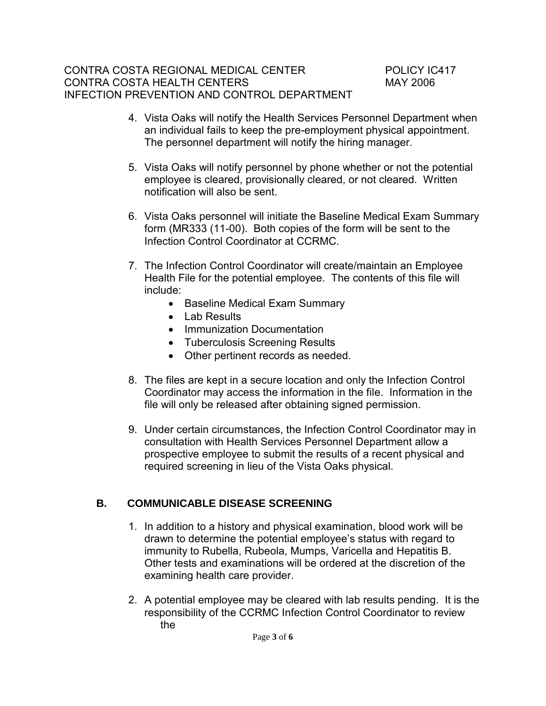- 4. Vista Oaks will notify the Health Services Personnel Department when an individual fails to keep the pre-employment physical appointment. The personnel department will notify the hiring manager.
- 5. Vista Oaks will notify personnel by phone whether or not the potential employee is cleared, provisionally cleared, or not cleared. Written notification will also be sent.
- 6. Vista Oaks personnel will initiate the Baseline Medical Exam Summary form (MR333 (11-00). Both copies of the form will be sent to the Infection Control Coordinator at CCRMC.
- 7. The Infection Control Coordinator will create/maintain an Employee Health File for the potential employee. The contents of this file will include:
	- Baseline Medical Exam Summary
	- Lab Results
	- Immunization Documentation
	- Tuberculosis Screening Results
	- Other pertinent records as needed.
- 8. The files are kept in a secure location and only the Infection Control Coordinator may access the information in the file. Information in the file will only be released after obtaining signed permission.
- 9. Under certain circumstances, the Infection Control Coordinator may in consultation with Health Services Personnel Department allow a prospective employee to submit the results of a recent physical and required screening in lieu of the Vista Oaks physical.

# **B. COMMUNICABLE DISEASE SCREENING**

- 1. In addition to a history and physical examination, blood work will be drawn to determine the potential employee's status with regard to immunity to Rubella, Rubeola, Mumps, Varicella and Hepatitis B. Other tests and examinations will be ordered at the discretion of the examining health care provider.
- 2. A potential employee may be cleared with lab results pending. It is the responsibility of the CCRMC Infection Control Coordinator to review the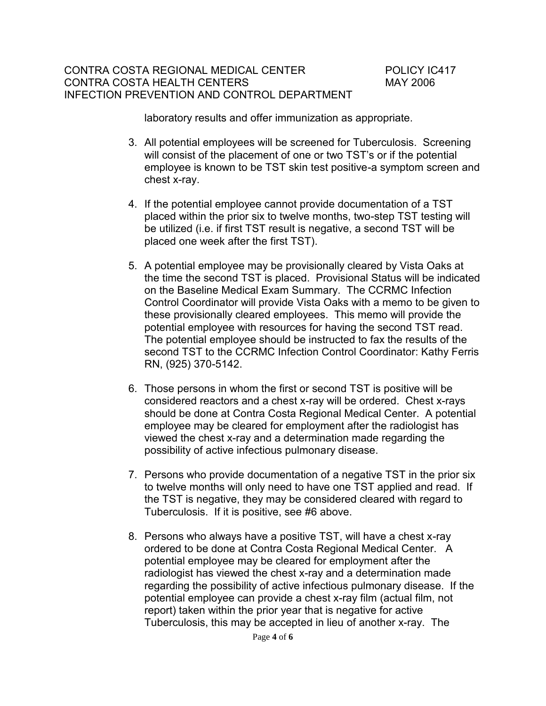laboratory results and offer immunization as appropriate.

- 3. All potential employees will be screened for Tuberculosis. Screening will consist of the placement of one or two TST's or if the potential employee is known to be TST skin test positive-a symptom screen and chest x-ray.
- 4. If the potential employee cannot provide documentation of a TST placed within the prior six to twelve months, two-step TST testing will be utilized (i.e. if first TST result is negative, a second TST will be placed one week after the first TST).
- 5. A potential employee may be provisionally cleared by Vista Oaks at the time the second TST is placed. Provisional Status will be indicated on the Baseline Medical Exam Summary. The CCRMC Infection Control Coordinator will provide Vista Oaks with a memo to be given to these provisionally cleared employees. This memo will provide the potential employee with resources for having the second TST read. The potential employee should be instructed to fax the results of the second TST to the CCRMC Infection Control Coordinator: Kathy Ferris RN, (925) 370-5142.
- 6. Those persons in whom the first or second TST is positive will be considered reactors and a chest x-ray will be ordered. Chest x-rays should be done at Contra Costa Regional Medical Center. A potential employee may be cleared for employment after the radiologist has viewed the chest x-ray and a determination made regarding the possibility of active infectious pulmonary disease.
- 7. Persons who provide documentation of a negative TST in the prior six to twelve months will only need to have one TST applied and read. If the TST is negative, they may be considered cleared with regard to Tuberculosis. If it is positive, see #6 above.
- 8. Persons who always have a positive TST, will have a chest x-ray ordered to be done at Contra Costa Regional Medical Center. A potential employee may be cleared for employment after the radiologist has viewed the chest x-ray and a determination made regarding the possibility of active infectious pulmonary disease. If the potential employee can provide a chest x-ray film (actual film, not report) taken within the prior year that is negative for active Tuberculosis, this may be accepted in lieu of another x-ray. The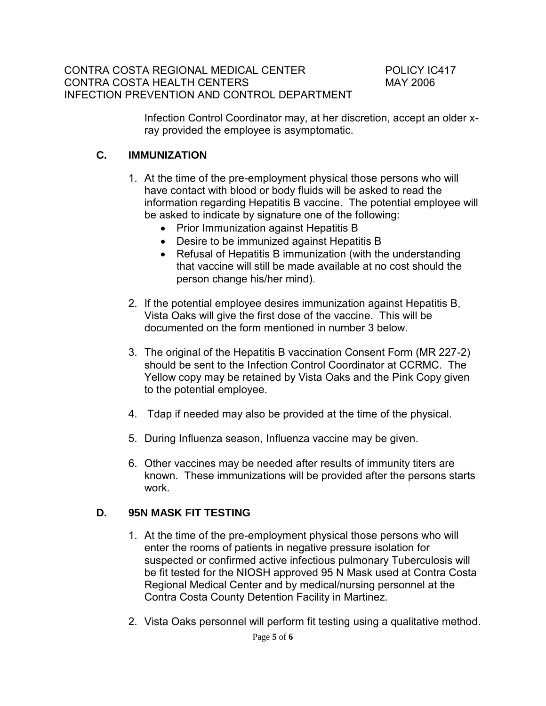Infection Control Coordinator may, at her discretion, accept an older xray provided the employee is asymptomatic.

### **C. IMMUNIZATION**

- 1. At the time of the pre-employment physical those persons who will have contact with blood or body fluids will be asked to read the information regarding Hepatitis B vaccine. The potential employee will be asked to indicate by signature one of the following:
	- Prior Immunization against Hepatitis B
	- Desire to be immunized against Hepatitis B
	- Refusal of Hepatitis B immunization (with the understanding that vaccine will still be made available at no cost should the person change his/her mind).
- 2. If the potential employee desires immunization against Hepatitis B, Vista Oaks will give the first dose of the vaccine. This will be documented on the form mentioned in number 3 below.
- 3. The original of the Hepatitis B vaccination Consent Form (MR 227-2) should be sent to the Infection Control Coordinator at CCRMC. The Yellow copy may be retained by Vista Oaks and the Pink Copy given to the potential employee.
- 4. Tdap if needed may also be provided at the time of the physical.
- 5. During Influenza season, Influenza vaccine may be given.
- 6. Other vaccines may be needed after results of immunity titers are known. These immunizations will be provided after the persons starts work.

# **D. 95N MASK FIT TESTING**

- 1. At the time of the pre-employment physical those persons who will enter the rooms of patients in negative pressure isolation for suspected or confirmed active infectious pulmonary Tuberculosis will be fit tested for the NIOSH approved 95 N Mask used at Contra Costa Regional Medical Center and by medical/nursing personnel at the Contra Costa County Detention Facility in Martinez.
- 2. Vista Oaks personnel will perform fit testing using a qualitative method.